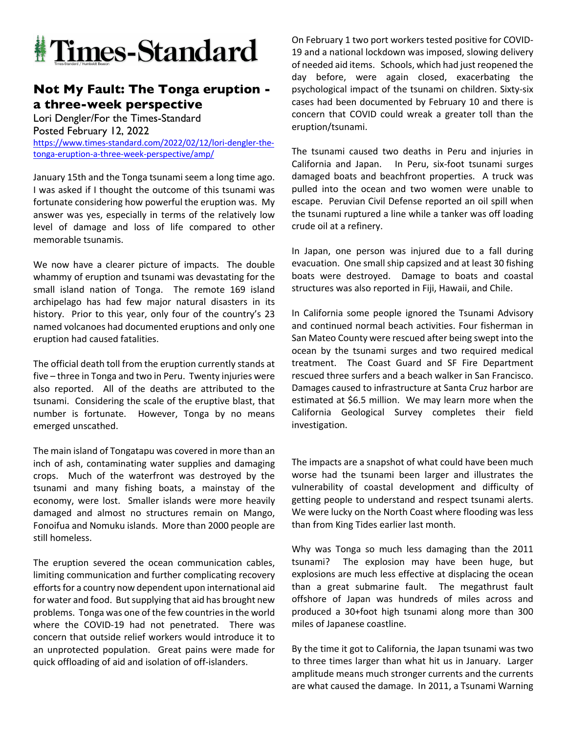

## **Not My Fault: The Tonga eruption a three-week perspective**

Lori Dengler/For the Times-Standard Posted February 12, 2022 https://www.times-standard.com/2022/02/12/lori-dengler-thetonga-eruption-a-three-week-perspective/amp/

January 15th and the Tonga tsunami seem a long time ago. I was asked if I thought the outcome of this tsunami was fortunate considering how powerful the eruption was. My answer was yes, especially in terms of the relatively low level of damage and loss of life compared to other memorable tsunamis.

We now have a clearer picture of impacts. The double whammy of eruption and tsunami was devastating for the small island nation of Tonga. The remote 169 island archipelago has had few major natural disasters in its history. Prior to this year, only four of the country's 23 named volcanoes had documented eruptions and only one eruption had caused fatalities.

The official death toll from the eruption currently stands at five – three in Tonga and two in Peru. Twenty injuries were also reported. All of the deaths are attributed to the tsunami. Considering the scale of the eruptive blast, that number is fortunate. However, Tonga by no means emerged unscathed.

The main island of Tongatapu was covered in more than an inch of ash, contaminating water supplies and damaging crops. Much of the waterfront was destroyed by the tsunami and many fishing boats, a mainstay of the economy, were lost. Smaller islands were more heavily damaged and almost no structures remain on Mango, Fonoifua and Nomuku islands. More than 2000 people are still homeless.

The eruption severed the ocean communication cables, limiting communication and further complicating recovery efforts for a country now dependent upon international aid for water and food. But supplying that aid has brought new problems. Tonga was one of the few countries in the world where the COVID-19 had not penetrated. There was concern that outside relief workers would introduce it to an unprotected population. Great pains were made for quick offloading of aid and isolation of off-islanders.

On February 1 two port workers tested positive for COVID-19 and a national lockdown was imposed, slowing delivery of needed aid items. Schools, which had just reopened the day before, were again closed, exacerbating the psychological impact of the tsunami on children. Sixty-six cases had been documented by February 10 and there is concern that COVID could wreak a greater toll than the eruption/tsunami.

The tsunami caused two deaths in Peru and injuries in California and Japan. In Peru, six-foot tsunami surges damaged boats and beachfront properties. A truck was pulled into the ocean and two women were unable to escape. Peruvian Civil Defense reported an oil spill when the tsunami ruptured a line while a tanker was off loading crude oil at a refinery.

In Japan, one person was injured due to a fall during evacuation. One small ship capsized and at least 30 fishing boats were destroyed. Damage to boats and coastal structures was also reported in Fiji, Hawaii, and Chile.

In California some people ignored the Tsunami Advisory and continued normal beach activities. Four fisherman in San Mateo County were rescued after being swept into the ocean by the tsunami surges and two required medical treatment. The Coast Guard and SF Fire Department rescued three surfers and a beach walker in San Francisco. Damages caused to infrastructure at Santa Cruz harbor are estimated at \$6.5 million. We may learn more when the California Geological Survey completes their field investigation.

The impacts are a snapshot of what could have been much worse had the tsunami been larger and illustrates the vulnerability of coastal development and difficulty of getting people to understand and respect tsunami alerts. We were lucky on the North Coast where flooding was less than from King Tides earlier last month.

Why was Tonga so much less damaging than the 2011 tsunami? The explosion may have been huge, but explosions are much less effective at displacing the ocean than a great submarine fault. The megathrust fault offshore of Japan was hundreds of miles across and produced a 30+foot high tsunami along more than 300 miles of Japanese coastline.

By the time it got to California, the Japan tsunami was two to three times larger than what hit us in January. Larger amplitude means much stronger currents and the currents are what caused the damage. In 2011, a Tsunami Warning